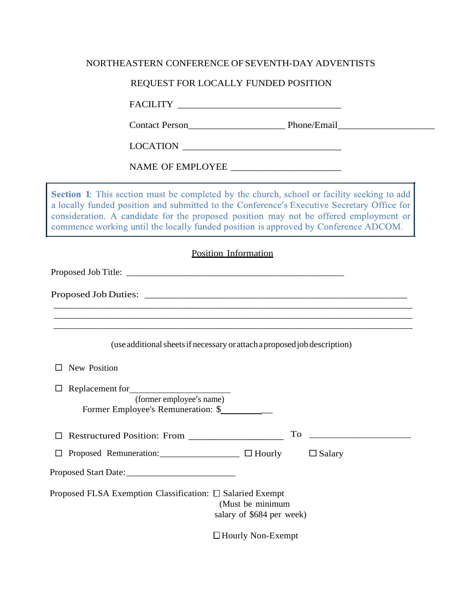### NORTHEASTERN CONFERENCE OF SEVENTH-DAY ADVENTISTS

# REQUEST FOR LOCALLY FUNDED POSITION

FACILITY \_\_\_\_\_\_\_\_\_\_\_\_\_\_\_\_\_\_\_\_\_\_\_\_\_\_\_\_\_\_\_\_\_\_

Contact Person\_\_\_\_\_\_\_\_\_\_\_\_\_\_\_\_\_\_\_\_ Phone/Email\_\_\_\_\_\_\_\_\_\_\_\_\_\_\_\_\_\_\_\_

 $\text{LOCATION} \begin{tabular}{|c|c|c|c|} \hline \rule{0pt}{3ex} \rule{0pt}{3ex} \rule{0pt}{3ex} \rule{0pt}{3ex} \rule{0pt}{3ex} \rule{0pt}{3ex} \rule{0pt}{3ex} \rule{0pt}{3ex} \rule{0pt}{3ex} \rule{0pt}{3ex} \rule{0pt}{3ex} \rule{0pt}{3ex} \rule{0pt}{3ex} \rule{0pt}{3ex} \rule{0pt}{3ex} \rule{0pt}{3ex} \rule{0pt}{3ex} \rule{0pt}{3ex} \rule{0pt}{3ex} \rule{0pt}{3ex} \rule{0pt}{3ex} \rule{0pt}{$ 

NAME OF EMPLOYEE \_\_\_\_\_\_\_\_\_\_\_\_\_\_\_\_\_\_\_\_\_\_\_

**Section 1:** This section must be completed by the church, school or facility seeking to add a locally funded position and submitted to the Conference's Executive Secretary Office for consideration. A candidate for the proposed position may not be offered employment or commence working until the locally funded position is approved by Conference ADCOM.

| <b>Position Information</b>                                                                 |                           |                                                                                                                     |
|---------------------------------------------------------------------------------------------|---------------------------|---------------------------------------------------------------------------------------------------------------------|
|                                                                                             |                           |                                                                                                                     |
|                                                                                             |                           |                                                                                                                     |
|                                                                                             |                           |                                                                                                                     |
| (use additional sheets if necessary or attach a proposed job description)                   |                           |                                                                                                                     |
| New Position                                                                                |                           |                                                                                                                     |
| Replacement for<br>$\Box$<br>(former employee's name)<br>Former Employee's Remuneration: \$ |                           |                                                                                                                     |
| Restructured Position: From ______________________<br>П                                     | To                        | <u> 1989 - Johann Barn, mars eta bainar eta baina eta baina eta baina eta baina eta baina eta baina eta baina e</u> |
| Proposed Remuneration: □ □ Hourly □ Salary<br>□                                             |                           |                                                                                                                     |
|                                                                                             |                           |                                                                                                                     |
| Proposed FLSA Exemption Classification: $\square$ Salaried Exempt<br>(Must be minimum       | salary of \$684 per week) |                                                                                                                     |
| $\Box$ Hourly Non-Exempt                                                                    |                           |                                                                                                                     |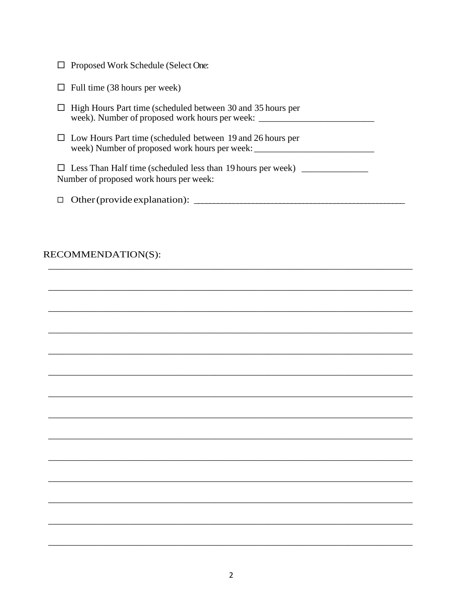| $\Box$ Proposed Work Schedule (Select One: |  |  |
|--------------------------------------------|--|--|
|                                            |  |  |

|  |  |  |  |  |  | $\Box$ Full time (38 hours per week) |
|--|--|--|--|--|--|--------------------------------------|
|--|--|--|--|--|--|--------------------------------------|

| $\Box$ High Hours Part time (scheduled between 30 and 35 hours per |  |
|--------------------------------------------------------------------|--|
| week). Number of proposed work hours per week:                     |  |

 $\Box$  Low Hours Part time (scheduled between 19 and 26 hours per 

□ Less Than Half time (scheduled less than 19 hours per week) \_\_\_\_\_\_\_\_\_\_\_\_\_\_\_\_\_ Number of proposed work hours per week:

## RECOMMENDATION(S):

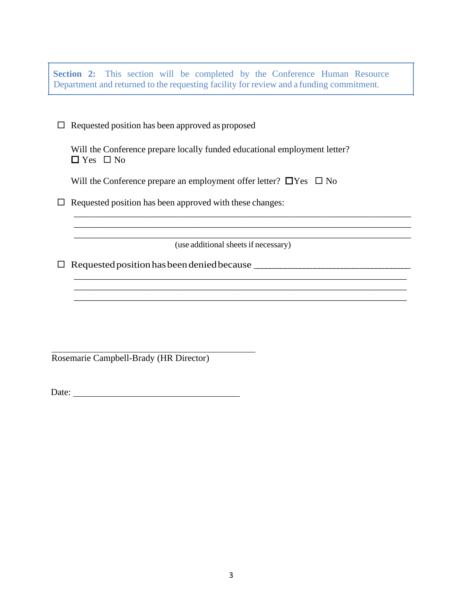**Section 2:** This section will be completed by the Conference Human Resource Department and returned to the requesting facility for review and a funding commitment.

 $\Box$  Requested position has been approved as proposed

Will the Conference prepare locally funded educational employment letter?  $\Box$  Yes  $\Box$  No

Will the Conference prepare an employment offer letter?  $\Box$  Yes  $\Box$  No

 $\Box$  Requested position has been approved with these changes:

(use additional sheets if necessary)

\_\_\_\_\_\_\_\_\_\_\_\_\_\_\_\_\_\_\_\_\_\_\_\_\_\_\_\_\_\_\_\_\_\_\_\_\_\_\_\_\_\_\_\_\_\_\_\_\_\_\_\_\_\_\_\_\_\_\_\_\_\_\_\_\_\_\_\_\_\_\_\_\_ \_\_\_\_\_\_\_\_\_\_\_\_\_\_\_\_\_\_\_\_\_\_\_\_\_\_\_\_\_\_\_\_\_\_\_\_\_\_\_\_\_\_\_\_\_\_\_\_\_\_\_\_\_\_\_\_\_\_\_\_\_\_\_\_\_\_\_\_\_\_\_\_\_

\_\_\_\_\_\_\_\_\_\_\_\_\_\_\_\_\_\_\_\_\_\_\_\_\_\_\_\_\_\_\_\_\_\_\_\_\_\_\_\_\_\_\_\_\_\_\_\_\_\_\_\_\_\_\_\_\_\_\_\_\_\_\_\_\_\_\_\_\_\_\_\_ \_\_\_\_\_\_\_\_\_\_\_\_\_\_\_\_\_\_\_\_\_\_\_\_\_\_\_\_\_\_\_\_\_\_\_\_\_\_\_\_\_\_\_\_\_\_\_\_\_\_\_\_\_\_\_\_\_\_\_\_\_\_\_\_\_\_\_\_\_\_\_\_

\_\_\_\_\_\_\_\_\_\_\_\_\_\_\_\_\_\_\_\_\_\_\_\_\_\_\_\_\_\_\_\_\_\_\_\_\_\_\_\_\_\_\_\_\_\_\_\_\_\_\_\_\_\_\_\_\_\_\_\_\_\_\_\_\_\_\_\_\_\_\_\_\_

\_\_\_\_\_\_\_\_\_\_\_\_\_\_\_\_\_\_\_\_\_\_\_\_\_\_\_\_\_\_\_\_\_\_\_\_\_\_\_\_\_\_\_\_\_\_\_\_\_\_\_\_\_\_\_\_\_\_\_\_\_\_\_\_\_\_\_\_\_\_\_\_

 $\Box$  Requested position has been denied because

Rosemarie Campbell-Brady (HR Director)

Date: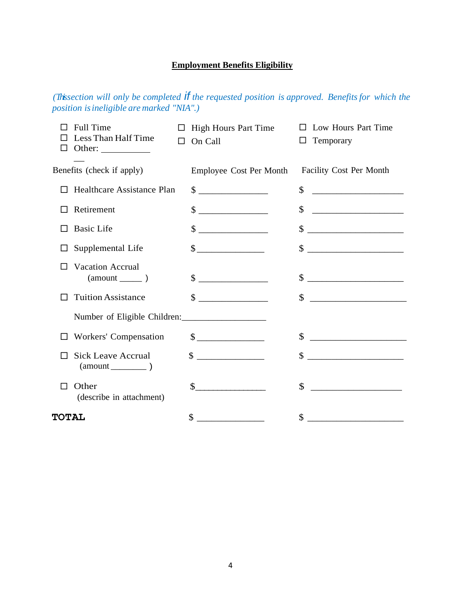# **Employment Benefits Eligibility**

*(This section will only be completed if the requested position is approved. Benefitsfor which the position isineligible are marked "NIA".)*

| Full Time<br>Less Than Half Time<br>Other: $\_\_$<br>□ | П | High Hours Part Time<br>On Call | Low Hours Part Time<br>$\Box$<br>Temporary<br>ப                                                                                                                                                                                                                                                                     |
|--------------------------------------------------------|---|---------------------------------|---------------------------------------------------------------------------------------------------------------------------------------------------------------------------------------------------------------------------------------------------------------------------------------------------------------------|
| Benefits (check if apply)                              |   | <b>Employee Cost Per Month</b>  | Facility Cost Per Month                                                                                                                                                                                                                                                                                             |
| Healthcare Assistance Plan                             |   | $\frac{1}{2}$                   | \$                                                                                                                                                                                                                                                                                                                  |
| Retirement                                             |   | $\sim$                          | \$                                                                                                                                                                                                                                                                                                                  |
| <b>Basic Life</b>                                      |   | $\frac{\text{S}}{\text{S}}$     | \$                                                                                                                                                                                                                                                                                                                  |
| Supplemental Life                                      |   | $\frac{\text{S}}{\text{S}}$     | $\frac{\text{S}}{\text{S}}$                                                                                                                                                                                                                                                                                         |
| <b>Vacation Accrual</b><br>ΙI                          |   | $\sim$                          | \$                                                                                                                                                                                                                                                                                                                  |
| <b>Tuition Assistance</b>                              |   | $\sim$                          | $\frac{1}{2}$ $\frac{1}{2}$ $\frac{1}{2}$ $\frac{1}{2}$ $\frac{1}{2}$ $\frac{1}{2}$ $\frac{1}{2}$ $\frac{1}{2}$ $\frac{1}{2}$ $\frac{1}{2}$ $\frac{1}{2}$ $\frac{1}{2}$ $\frac{1}{2}$ $\frac{1}{2}$ $\frac{1}{2}$ $\frac{1}{2}$ $\frac{1}{2}$ $\frac{1}{2}$ $\frac{1}{2}$ $\frac{1}{2}$ $\frac{1}{2}$ $\frac{1}{2}$ |
| Number of Eligible Children:                           |   |                                 |                                                                                                                                                                                                                                                                                                                     |
| Workers' Compensation                                  |   | $\mathbb{S}$                    | \$                                                                                                                                                                                                                                                                                                                  |
| <b>Sick Leave Accrual</b>                              |   | $\sim$ $\sim$                   |                                                                                                                                                                                                                                                                                                                     |
| Other<br>П<br>(describe in attachment)                 |   | $\sim$                          | $\mathbb{S}$<br><u> 1980 - Jan Stein Harry Harry Harry Harry Harry Harry Harry Harry Harry Harry Harry Harry Harry Harry Harry Har</u>                                                                                                                                                                              |
| <b>TOTAL</b>                                           |   | $\mathcal{S}$                   |                                                                                                                                                                                                                                                                                                                     |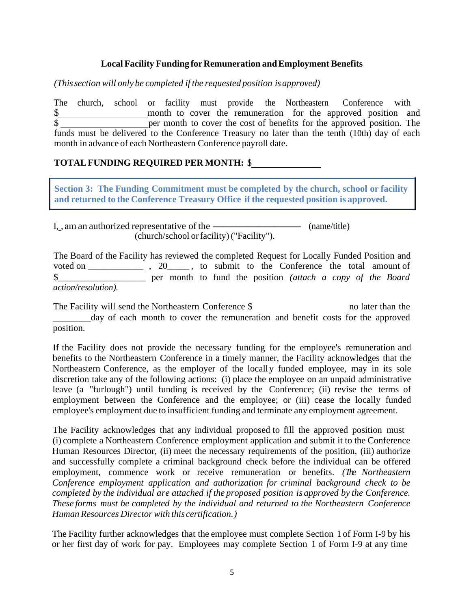### **Local Facility Funding forRemuneration andEmployment Benefits**

*(Thissection will only be completed if the requested position isapproved)*

The church, school or facility must provide the Northeastern Conference with \$ per month to cover the cost of benefits for the approved position. The funds must be delivered to the Conference Treasury no later than the tenth (10th) day of each month in advance of each Northeastern Conference payroll date.

### **TOTALFUNDING REQUIRED PER MONTH:** \$

**Section 3: The Funding Commitment must be completed by the church, school or facility and returned to the Conference Treasury Office if the requested position is approved.**

I, , am an authorized representative of the  $\frac{1}{\sqrt{1-\frac{1}{\sqrt{1-\frac{1}{\sqrt{1-\frac{1}{\sqrt{1-\frac{1}{\sqrt{1-\frac{1}{\sqrt{1-\frac{1}{\sqrt{1-\frac{1}{\sqrt{1-\frac{1}{\sqrt{1-\frac{1}{\sqrt{1-\frac{1}{\sqrt{1-\frac{1}{\sqrt{1-\frac{1}{\sqrt{1-\frac{1}{\sqrt{1-\frac{1}{\sqrt{1-\frac{1}{\sqrt{1-\frac{1}{\sqrt{1-\frac{1}{\sqrt{1-\frac{1}{\sqrt{1-\frac{1}{$ (church/school orfacility)("Facility").

The Board of the Facility has reviewed the completed Request for Locally Funded Position and voted on  $\cdot$ , 20  $\cdot$ , to submit to the Conference the total amount of \$\_\_\_\_\_\_\_\_\_\_\_\_\_\_\_\_\_\_\_ per month to fund the position *(attach a copy of the Board action/resolution).*

The Facility will send the Northeastern Conference \$ no later than the day of each month to cover the remuneration and benefit costs for the approved position.

If the Facility does not provide the necessary funding for the employee's remuneration and benefits to the Northeastern Conference in a timely manner, the Facility acknowledges that the Northeastern Conference, as the employer of the locally funded employee, may in its sole discretion take any of the following actions: (i) place the employee on an unpaid administrative leave (a "furlough") until funding is received by the Conference; (ii) revise the terms of employment between the Conference and the employee; or (iii) cease the locally funded employee's employment due to insufficient funding and terminate any employment agreement.

The Facility acknowledges that any individual proposed to fill the approved position must (i) complete a Northeastern Conference employment application and submit it to the Conference Human Resources Director, (ii) meet the necessary requirements of the position, (iii) authorize and successfully complete a criminal background check before the individual can be offered employment, commence work or receive remuneration or benefits. *(The Northeastern Conference employment application and authorization for criminal background check to be completed by the individual are attached if the proposed position is approved by the Conference. These forms must be completed by the individual and returned to the Northeastern Conference Human Resources Director with this certification.)*

The Facility further acknowledges that the employee must complete Section 1 of Form I-9 by his or her first day of work for pay. Employees may complete Section 1 of Form I-9 at any time